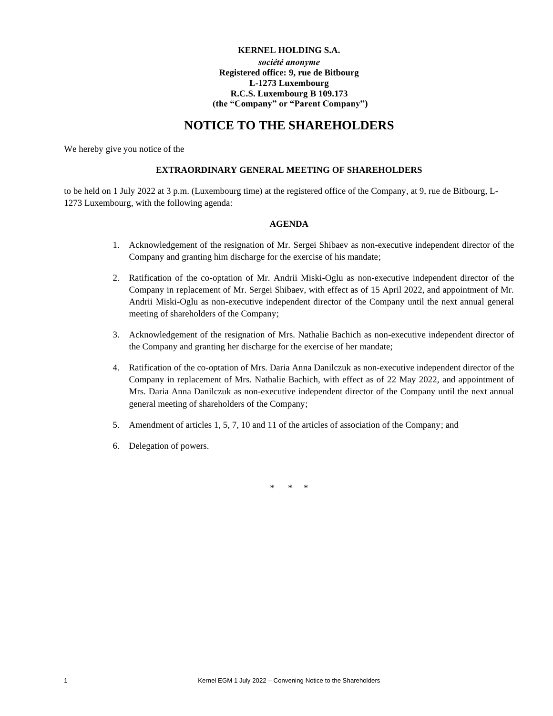## **KERNEL HOLDING S.A.** *société anonyme* **Registered office: 9, rue de Bitbourg L-1273 Luxembourg R.C.S. Luxembourg B 109.173 (the "Company" or "Parent Company")**

# **NOTICE TO THE SHAREHOLDERS**

We hereby give you notice of the

#### **EXTRAORDINARY GENERAL MEETING OF SHAREHOLDERS**

to be held on 1 July 2022 at 3 p.m. (Luxembourg time) at the registered office of the Company, at 9, rue de Bitbourg, L-1273 Luxembourg, with the following agenda:

## **AGENDA**

- 1. Acknowledgement of the resignation of Mr. Sergei Shibaev as non-executive independent director of the Company and granting him discharge for the exercise of his mandate;
- 2. Ratification of the co-optation of Mr. Andrii Miski-Oglu as non-executive independent director of the Company in replacement of Mr. Sergei Shibaev, with effect as of 15 April 2022, and appointment of Mr. Andrii Miski-Oglu as non-executive independent director of the Company until the next annual general meeting of shareholders of the Company;
- 3. Acknowledgement of the resignation of Mrs. Nathalie Bachich as non-executive independent director of the Company and granting her discharge for the exercise of her mandate;
- 4. Ratification of the co-optation of Mrs. Daria Anna Danilczuk as non-executive independent director of the Company in replacement of Mrs. Nathalie Bachich, with effect as of 22 May 2022, and appointment of Mrs. Daria Anna Danilczuk as non-executive independent director of the Company until the next annual general meeting of shareholders of the Company;
- 5. Amendment of articles 1, 5, 7, 10 and 11 of the articles of association of the Company; and
- 6. Delegation of powers.

\* \* \*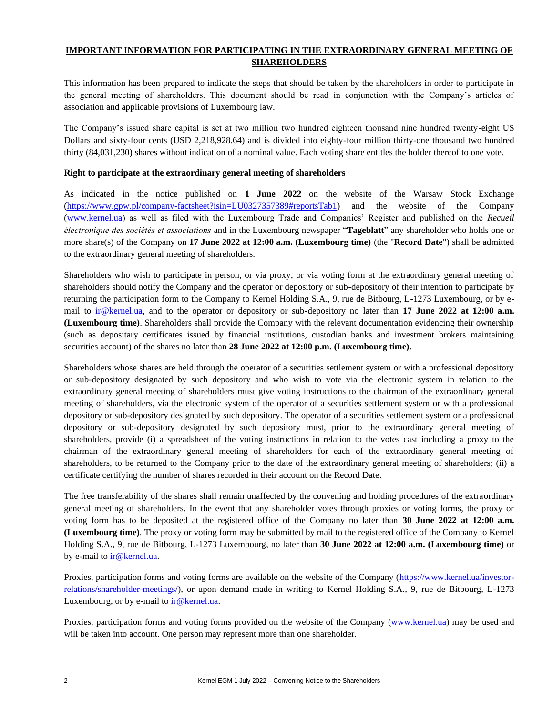## **IMPORTANT INFORMATION FOR PARTICIPATING IN THE EXTRAORDINARY GENERAL MEETING OF SHAREHOLDERS**

This information has been prepared to indicate the steps that should be taken by the shareholders in order to participate in the general meeting of shareholders. This document should be read in conjunction with the Company's articles of association and applicable provisions of Luxembourg law.

The Company's issued share capital is set at two million two hundred eighteen thousand nine hundred twenty-eight US Dollars and sixty-four cents (USD 2,218,928.64) and is divided into eighty-four million thirty-one thousand two hundred thirty (84,031,230) shares without indication of a nominal value. Each voting share entitles the holder thereof to one vote.

#### **Right to participate at the extraordinary general meeting of shareholders**

As indicated in the notice published on **1 June 2022** on the website of the Warsaw Stock Exchange (https://www.gpw.pl/company-factsheet?isin=LU0327357389#reportsTab1) and the website of the Company (www.kernel.ua) as well as filed with the Luxembourg Trade and Companies' Register and published on the *Recueil électronique des sociétés et associations* and in the Luxembourg newspaper "**Tageblatt**" any shareholder who holds one or more share(s) of the Company on **17 June 2022 at 12:00 a.m. (Luxembourg time)** (the "**Record Date**") shall be admitted to the extraordinary general meeting of shareholders.

Shareholders who wish to participate in person, or via proxy, or via voting form at the extraordinary general meeting of shareholders should notify the Company and the operator or depository or sub-depository of their intention to participate by returning the participation form to the Company to Kernel Holding S.A., 9, rue de Bitbourg, L-1273 Luxembourg, or by email to ir@kernel.ua, and to the operator or depository or sub-depository no later than **17 June 2022 at 12:00 a.m. (Luxembourg time)**. Shareholders shall provide the Company with the relevant documentation evidencing their ownership (such as depositary certificates issued by financial institutions, custodian banks and investment brokers maintaining securities account) of the shares no later than **28 June 2022 at 12:00 p.m. (Luxembourg time)**.

Shareholders whose shares are held through the operator of a securities settlement system or with a professional depository or sub-depository designated by such depository and who wish to vote via the electronic system in relation to the extraordinary general meeting of shareholders must give voting instructions to the chairman of the extraordinary general meeting of shareholders, via the electronic system of the operator of a securities settlement system or with a professional depository or sub-depository designated by such depository. The operator of a securities settlement system or a professional depository or sub-depository designated by such depository must, prior to the extraordinary general meeting of shareholders, provide (i) a spreadsheet of the voting instructions in relation to the votes cast including a proxy to the chairman of the extraordinary general meeting of shareholders for each of the extraordinary general meeting of shareholders, to be returned to the Company prior to the date of the extraordinary general meeting of shareholders; (ii) a certificate certifying the number of shares recorded in their account on the Record Date.

The free transferability of the shares shall remain unaffected by the convening and holding procedures of the extraordinary general meeting of shareholders. In the event that any shareholder votes through proxies or voting forms, the proxy or voting form has to be deposited at the registered office of the Company no later than **30 June 2022 at 12:00 a.m. (Luxembourg time)**. The proxy or voting form may be submitted by mail to the registered office of the Company to Kernel Holding S.A., 9, rue de Bitbourg, L-1273 Luxembourg, no later than **30 June 2022 at 12:00 a.m. (Luxembourg time)** or by e-mail to **ir@kernel.ua**.

Proxies, participation forms and voting forms are available on the website of the Company (https://www.kernel.ua/investorrelations/shareholder-meetings/), or upon demand made in writing to Kernel Holding S.A., 9, rue de Bitbourg, L-1273 Luxembourg, or by e-mail to ir@kernel.ua.

Proxies, participation forms and voting forms provided on the website of the Company (www.kernel.ua) may be used and will be taken into account. One person may represent more than one shareholder.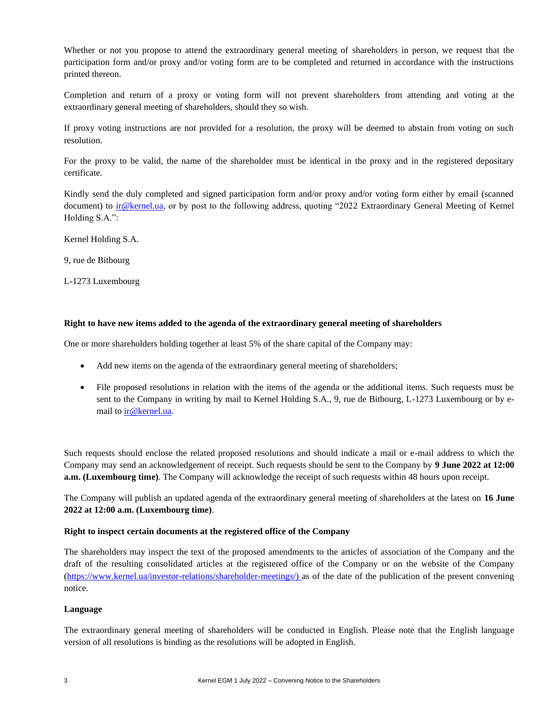Whether or not you propose to attend the extraordinary general meeting of shareholders in person, we request that the participation form and/or proxy and/or voting form are to be completed and returned in accordance with the instructions printed thereon.

Completion and return of a proxy or voting form will not prevent shareholders from attending and voting at the extraordinary general meeting of shareholders, should they so wish.

If proxy voting instructions are not provided for a resolution, the proxy will be deemed to abstain from voting on such resolution.

For the proxy to be valid, the name of the shareholder must be identical in the proxy and in the registered depositary certificate.

Kindly send the duly completed and signed participation form and/or proxy and/or voting form either by email (scanned document) to ir@kernel.ua, or by post to the following address, quoting "2022 Extraordinary General Meeting of Kernel Holding S.A.":

Kernel Holding S.A.

9, rue de Bitbourg

L-1273 Luxembourg

## **Right to have new items added to the agenda of the extraordinary general meeting of shareholders**

One or more shareholders holding together at least 5% of the share capital of the Company may:

- Add new items on the agenda of the extraordinary general meeting of shareholders;
- File proposed resolutions in relation with the items of the agenda or the additional items. Such requests must be sent to the Company in writing by mail to Kernel Holding S.A., 9, rue de Bitbourg, L-1273 Luxembourg or by email to **ir@kernel.ua**.

Such requests should enclose the related proposed resolutions and should indicate a mail or e-mail address to which the Company may send an acknowledgement of receipt. Such requests should be sent to the Company by **9 June 2022 at 12:00 a.m. (Luxembourg time)**. The Company will acknowledge the receipt of such requests within 48 hours upon receipt.

The Company will publish an updated agenda of the extraordinary general meeting of shareholders at the latest on **16 June 2022 at 12:00 a.m. (Luxembourg time)**.

#### **Right to inspect certain documents at the registered office of the Company**

The shareholders may inspect the text of the proposed amendments to the articles of association of the Company and the draft of the resulting consolidated articles at the registered office of the Company or on the website of the Company (https://www.kernel.ua/investor-relations/shareholder-meetings/) as of the date of the publication of the present convening notice.

#### **Language**

The extraordinary general meeting of shareholders will be conducted in English. Please note that the English language version of all resolutions is binding as the resolutions will be adopted in English.